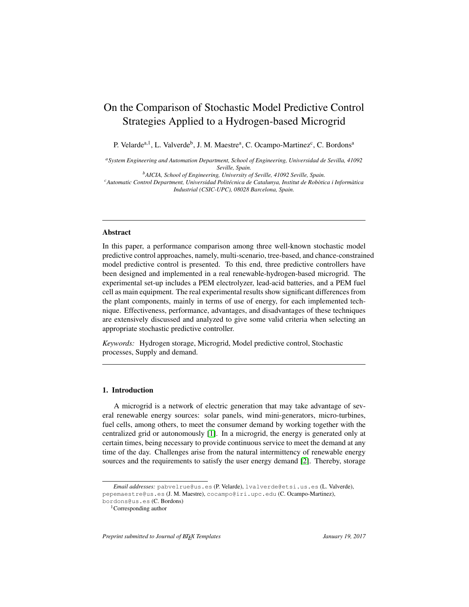# On the Comparison of Stochastic Model Predictive Control Strategies Applied to a Hydrogen-based Microgrid

P. Velarde<sup>a, 1</sup>, L. Valverde<sup>b</sup>, J. M. Maestre<sup>a</sup>, C. Ocampo-Martinez<sup>c</sup>, C. Bordons<sup>a</sup>

*<sup>a</sup>System Engineering and Automation Department, School of Engineering, Universidad de Sevilla, 41092 Seville, Spain.*

*<sup>b</sup>AICIA, School of Engineering, University of Seville, 41092 Seville, Spain. <sup>c</sup>Automatic Control Department, Universidad Politecnica de Catalunya, Institut de Rob ´ otica i Inform ` atica ` Industrial (CSIC-UPC), 08028 Barcelona, Spain.*

# Abstract

In this paper, a performance comparison among three well-known stochastic model predictive control approaches, namely, multi-scenario, tree-based, and chance-constrained model predictive control is presented. To this end, three predictive controllers have been designed and implemented in a real renewable-hydrogen-based microgrid. The experimental set-up includes a PEM electrolyzer, lead-acid batteries, and a PEM fuel cell as main equipment. The real experimental results show significant differences from the plant components, mainly in terms of use of energy, for each implemented technique. Effectiveness, performance, advantages, and disadvantages of these techniques are extensively discussed and analyzed to give some valid criteria when selecting an appropriate stochastic predictive controller.

*Keywords:* Hydrogen storage, Microgrid, Model predictive control, Stochastic processes, Supply and demand.

#### 1. Introduction

A microgrid is a network of electric generation that may take advantage of several renewable energy sources: solar panels, wind mini-generators, micro-turbines, fuel cells, among others, to meet the consumer demand by working together with the centralized grid or autonomously [\[1\]](#page-21-0). In a microgrid, the energy is generated only at certain times, being necessary to provide continuous service to meet the demand at any time of the day. Challenges arise from the natural intermittency of renewable energy sources and the requirements to satisfy the user energy demand [\[2\]](#page-21-1). Thereby, storage

*Preprint submitted to Journal of EIFX Templates January 19, 2017* 

*Email addresses:* pabvelrue@us.es (P. Velarde), lvalverde@etsi.us.es (L. Valverde), pepemaestre@us.es (J. M. Maestre), cocampo@iri.upc.edu (C. Ocampo-Martinez),

bordons@us.es (C. Bordons)

<sup>&</sup>lt;sup>1</sup>Corresponding author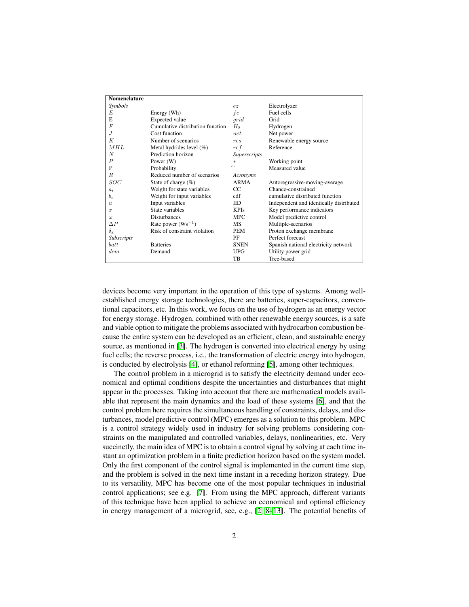| <b>Nomenclature</b> |                                  |              |                                         |
|---------------------|----------------------------------|--------------|-----------------------------------------|
| Symbols             |                                  | ez           | Electrolyzer                            |
| E                   | Energy (Wh)                      | fc           | Fuel cells                              |
| F.                  | <b>Expected value</b>            | grid         | Grid                                    |
| $\overline{F}$      | Cumulative distribution function | $H_2$        | Hydrogen                                |
| J.                  | Cost function                    | net          | Net power                               |
| K                   | Number of scenarios              | res          | Renewable energy source                 |
| MHL                 | Metal hydrides level $(\%)$      | ref          | Reference                               |
| N                   | Prediction horizon               | Superscripts |                                         |
| $\boldsymbol{P}$    | Power $(W)$                      | *            | Working point                           |
| $\mathbb P$         | Probability                      | ∼            | Measured value                          |
| R                   | Reduced number of scenarios      | Acronyms     |                                         |
| SOC                 | State of charge $(\%)$           | <b>ARMA</b>  | Autoregressive-moving-average           |
| $a_i$               | Weight for state variables       | $_{\rm CC}$  | Chance-constrained                      |
| $b_i$               | Weight for input variables       | cdf          | cumulative distributed function         |
| $\mathcal{U}$       | Input variables                  | IID          | Independent and identically distributed |
| $\boldsymbol{x}$    | State variables                  | <b>KPIs</b>  | Key performance indicators              |
| $\omega$            | <b>Disturbances</b>              | <b>MPC</b>   | Model predictive control                |
| $\Delta P$          | Rate power $(Ws^{-1})$           | MS           | Multiple-scenarios                      |
| $\delta_x$          | Risk of constraint violation     | <b>PEM</b>   | Proton exchange membrane                |
| <b>Subscripts</b>   |                                  | PF           | Perfect forecast                        |
| $b$ att             | <b>Batteries</b>                 | <b>SNEN</b>  | Spanish national electricity network    |
| dem                 | Demand                           | <b>UPG</b>   | Utility power grid                      |
|                     |                                  | TВ           | Tree-based                              |

devices become very important in the operation of this type of systems. Among wellestablished energy storage technologies, there are batteries, super-capacitors, conventional capacitors, etc. In this work, we focus on the use of hydrogen as an energy vector for energy storage. Hydrogen, combined with other renewable energy sources, is a safe and viable option to mitigate the problems associated with hydrocarbon combustion because the entire system can be developed as an efficient, clean, and sustainable energy source, as mentioned in [\[3\]](#page-21-2). The hydrogen is converted into electrical energy by using fuel cells; the reverse process, i.e., the transformation of electric energy into hydrogen, is conducted by electrolysis [\[4\]](#page-21-3), or ethanol reforming [\[5\]](#page-21-4), among other techniques.

The control problem in a microgrid is to satisfy the electricity demand under economical and optimal conditions despite the uncertainties and disturbances that might appear in the processes. Taking into account that there are mathematical models available that represent the main dynamics and the load of these systems [\[6\]](#page-21-5), and that the control problem here requires the simultaneous handling of constraints, delays, and disturbances, model predictive control (MPC) emerges as a solution to this problem. MPC is a control strategy widely used in industry for solving problems considering constraints on the manipulated and controlled variables, delays, nonlinearities, etc. Very succinctly, the main idea of MPC is to obtain a control signal by solving at each time instant an optimization problem in a finite prediction horizon based on the system model. Only the first component of the control signal is implemented in the current time step, and the problem is solved in the next time instant in a receding horizon strategy. Due to its versatility, MPC has become one of the most popular techniques in industrial control applications; see e.g. [\[7\]](#page-22-0). From using the MPC approach, different variants of this technique have been applied to achieve an economical and optimal efficiency in energy management of a microgrid, see, e.g., [\[2,](#page-21-1) [8–](#page-22-1)[13\]](#page-22-2). The potential benefits of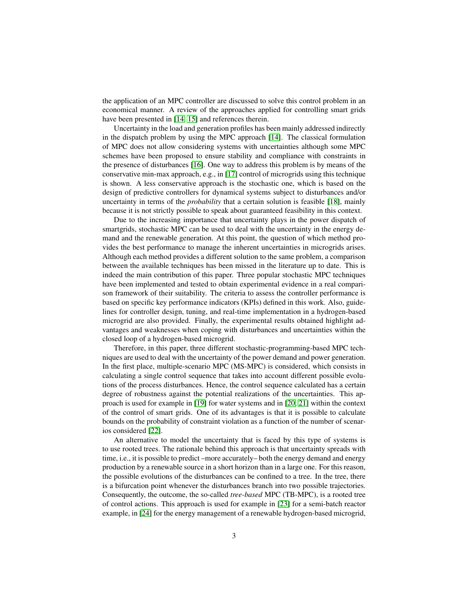the application of an MPC controller are discussed to solve this control problem in an economical manner. A review of the approaches applied for controlling smart grids have been presented in [\[14,](#page-22-3) [15\]](#page-22-4) and references therein.

Uncertainty in the load and generation profiles has been mainly addressed indirectly in the dispatch problem by using the MPC approach [\[14\]](#page-22-3). The classical formulation of MPC does not allow considering systems with uncertainties although some MPC schemes have been proposed to ensure stability and compliance with constraints in the presence of disturbances [\[16\]](#page-22-5). One way to address this problem is by means of the conservative min-max approach, e.g., in [\[17\]](#page-22-6) control of microgrids using this technique is shown. A less conservative approach is the stochastic one, which is based on the design of predictive controllers for dynamical systems subject to disturbances and/or uncertainty in terms of the *probability* that a certain solution is feasible [\[18\]](#page-22-7), mainly because it is not strictly possible to speak about guaranteed feasibility in this context.

Due to the increasing importance that uncertainty plays in the power dispatch of smartgrids, stochastic MPC can be used to deal with the uncertainty in the energy demand and the renewable generation. At this point, the question of which method provides the best performance to manage the inherent uncertainties in microgrids arises. Although each method provides a different solution to the same problem, a comparison between the available techniques has been missed in the literature up to date. This is indeed the main contribution of this paper. Three popular stochastic MPC techniques have been implemented and tested to obtain experimental evidence in a real comparison framework of their suitability. The criteria to assess the controller performance is based on specific key performance indicators (KPIs) defined in this work. Also, guidelines for controller design, tuning, and real-time implementation in a hydrogen-based microgrid are also provided. Finally, the experimental results obtained highlight advantages and weaknesses when coping with disturbances and uncertainties within the closed loop of a hydrogen-based microgrid.

Therefore, in this paper, three different stochastic-programming-based MPC techniques are used to deal with the uncertainty of the power demand and power generation. In the first place, multiple-scenario MPC (MS-MPC) is considered, which consists in calculating a single control sequence that takes into account different possible evolutions of the process disturbances. Hence, the control sequence calculated has a certain degree of robustness against the potential realizations of the uncertainties. This approach is used for example in [\[19\]](#page-23-0) for water systems and in [\[20,](#page-23-1) [21\]](#page-23-2) within the context of the control of smart grids. One of its advantages is that it is possible to calculate bounds on the probability of constraint violation as a function of the number of scenarios considered [\[22\]](#page-23-3).

An alternative to model the uncertainty that is faced by this type of systems is to use rooted trees. The rationale behind this approach is that uncertainty spreads with time, i.e., it is possible to predict –more accurately– both the energy demand and energy production by a renewable source in a short horizon than in a large one. For this reason, the possible evolutions of the disturbances can be confined to a tree. In the tree, there is a bifurcation point whenever the disturbances branch into two possible trajectories. Consequently, the outcome, the so-called *tree-based* MPC (TB-MPC), is a rooted tree of control actions. This approach is used for example in [\[23\]](#page-23-4) for a semi-batch reactor example, in [\[24\]](#page-23-5) for the energy management of a renewable hydrogen-based microgrid,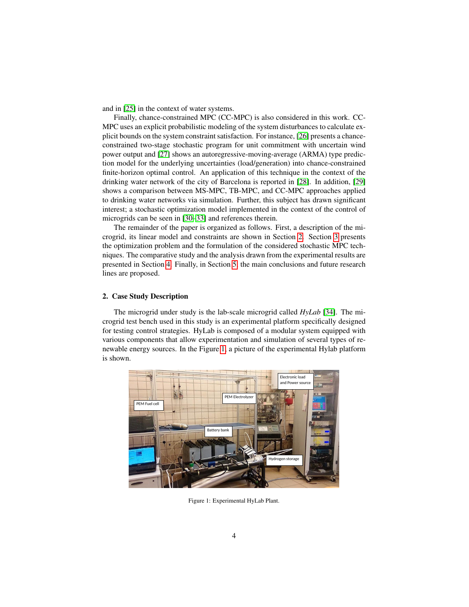and in [\[25\]](#page-23-6) in the context of water systems.

Finally, chance-constrained MPC (CC-MPC) is also considered in this work. CC-MPC uses an explicit probabilistic modeling of the system disturbances to calculate explicit bounds on the system constraint satisfaction. For instance, [\[26\]](#page-23-7) presents a chanceconstrained two-stage stochastic program for unit commitment with uncertain wind power output and [\[27\]](#page-23-8) shows an autoregressive-moving-average (ARMA) type prediction model for the underlying uncertainties (load/generation) into chance-constrained finite-horizon optimal control. An application of this technique in the context of the drinking water network of the city of Barcelona is reported in [\[28\]](#page-23-9). In addition, [\[29\]](#page-23-10) shows a comparison between MS-MPC, TB-MPC, and CC-MPC approaches applied to drinking water networks via simulation. Further, this subject has drawn significant interest; a stochastic optimization model implemented in the context of the control of microgrids can be seen in [\[30](#page-23-11)[–33\]](#page-24-0) and references therein.

The remainder of the paper is organized as follows. First, a description of the microgrid, its linear model and constraints are shown in Section [2.](#page-3-0) Section [3](#page-6-0) presents the optimization problem and the formulation of the considered stochastic MPC techniques. The comparative study and the analysis drawn from the experimental results are presented in Section [4.](#page-12-0) Finally, in Section [5,](#page-20-0) the main conclusions and future research lines are proposed.

## <span id="page-3-0"></span>2. Case Study Description

The microgrid under study is the lab-scale microgrid called *HyLab* [\[34\]](#page-24-1). The microgrid test bench used in this study is an experimental platform specifically designed for testing control strategies. HyLab is composed of a modular system equipped with various components that allow experimentation and simulation of several types of renewable energy sources. In the Figure [1,](#page-3-1) a picture of the experimental Hylab platform is shown.



<span id="page-3-1"></span>Figure 1: Experimental HyLab Plant.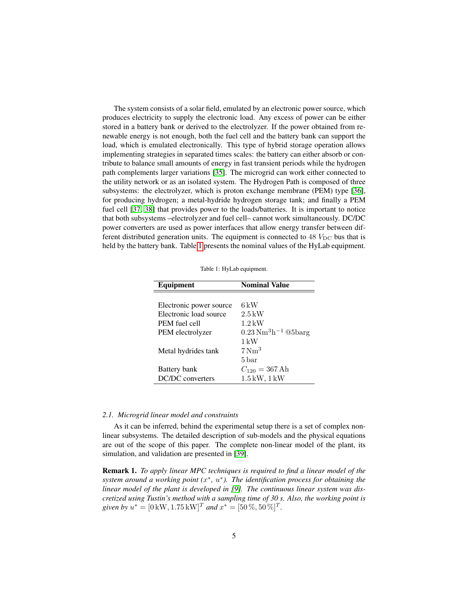The system consists of a solar field, emulated by an electronic power source, which produces electricity to supply the electronic load. Any excess of power can be either stored in a battery bank or derived to the electrolyzer. If the power obtained from renewable energy is not enough, both the fuel cell and the battery bank can support the load, which is emulated electronically. This type of hybrid storage operation allows implementing strategies in separated times scales: the battery can either absorb or contribute to balance small amounts of energy in fast transient periods while the hydrogen path complements larger variations [\[35\]](#page-24-2). The microgrid can work either connected to the utility network or as an isolated system. The Hydrogen Path is composed of three subsystems: the electrolyzer, which is proton exchange membrane (PEM) type [\[36\]](#page-24-3), for producing hydrogen; a metal-hydride hydrogen storage tank; and finally a PEM fuel cell [\[37,](#page-24-4) [38\]](#page-24-5) that provides power to the loads/batteries. It is important to notice that both subsystems –electrolyzer and fuel cell– cannot work simultaneously. DC/DC power converters are used as power interfaces that allow energy transfer between different distributed generation units. The equipment is connected to  $48$   $V_{\text{DC}}$  bus that is held by the battery bank. Table [1](#page-4-0) presents the nominal values of the HyLab equipment.

| Equipment                | <b>Nominal Value</b>                          |
|--------------------------|-----------------------------------------------|
|                          |                                               |
| Electronic power source. | 6 kW                                          |
| Electronic load source   | $2.5\,\mathrm{kW}$                            |
| PEM fuel cell            | $1.2\,\mathrm{kW}$                            |
| PEM electrolyzer         | $0.23\,\mathrm{Nm}^{3}\mathrm{h}^{-1}$ @5barg |
|                          | 1 kW                                          |
| Metal hydrides tank      | $7 \mathrm{Nm}^3$                             |
|                          | 5 bar                                         |
| Battery bank             | $C_{120} = 367$ Ah                            |
| DC/DC converters         | $1.5\,\mathrm{kW}$ , $1\,\mathrm{kW}$         |

<span id="page-4-0"></span>Table 1: HyLab equipment.

#### *2.1. Microgrid linear model and constraints*

As it can be inferred, behind the experimental setup there is a set of complex nonlinear subsystems. The detailed description of sub-models and the physical equations are out of the scope of this paper. The complete non-linear model of the plant, its simulation, and validation are presented in [\[39\]](#page-24-6).

Remark 1. *To apply linear MPC techniques is required to find a linear model of the system around a working point*  $(x^*, u^*)$ . The identification process for obtaining the *linear model of the plant is developed in [\[9\]](#page-22-8). The continuous linear system was discretized using Tustin's method with a sampling time of 30 s. Also, the working point is given by*  $u^* = [0 \text{ kW}, 1.75 \text{ kW}]^T$  *and*  $x^* = [50 \%, 50 \%]^T$ .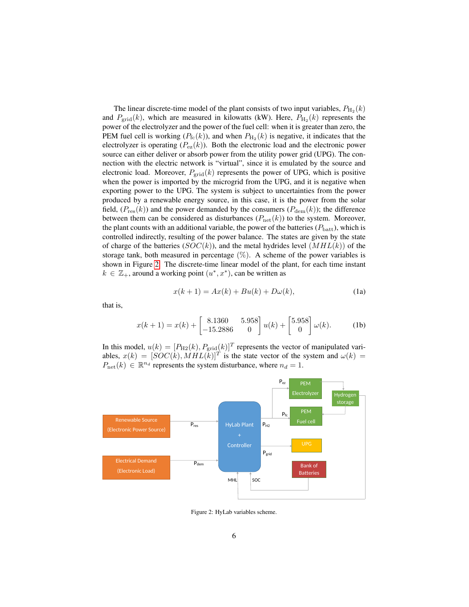The linear discrete-time model of the plant consists of two input variables,  $P_{\text{H}_2}(k)$ and  $P_{\text{grid}}(k)$ , which are measured in kilowatts (kW). Here,  $P_{\text{H}_2}(k)$  represents the power of the electrolyzer and the power of the fuel cell: when it is greater than zero, the PEM fuel cell is working  $(P_{\text{fc}}(k))$ , and when  $P_{\text{H}_2}(k)$  is negative, it indicates that the electrolyzer is operating  $(P_{\text{ez}}(k))$ . Both the electronic load and the electronic power source can either deliver or absorb power from the utility power grid (UPG). The connection with the electric network is "virtual", since it is emulated by the source and electronic load. Moreover,  $P_{grid}(k)$  represents the power of UPG, which is positive when the power is imported by the microgrid from the UPG, and it is negative when exporting power to the UPG. The system is subject to uncertainties from the power produced by a renewable energy source, in this case, it is the power from the solar field,  $(P_{res}(k))$  and the power demanded by the consumers  $(P_{dem}(k))$ ; the difference between them can be considered as disturbances  $(P_{\text{net}}(k))$  to the system. Moreover, the plant counts with an additional variable, the power of the batteries  $(P_{\text{batt}})$ , which is controlled indirectly, resulting of the power balance. The states are given by the state of charge of the batteries  $(SOC(k))$ , and the metal hydrides level  $(MHL(k))$  of the storage tank, both measured in percentage  $(\%)$ . A scheme of the power variables is shown in Figure [2.](#page-5-0) The discrete-time linear model of the plant, for each time instant  $k \in \mathbb{Z}_+$ , around a working point  $(u^*, x^*)$ , can be written as

$$
x(k+1) = Ax(k) + Bu(k) + D\omega(k),
$$
\n(1a)

<span id="page-5-1"></span>that is,

$$
x(k+1) = x(k) + \begin{bmatrix} 8.1360 & 5.958 \\ -15.2886 & 0 \end{bmatrix} u(k) + \begin{bmatrix} 5.958 \\ 0 \end{bmatrix} \omega(k).
$$
 (1b)

In this model,  $u(k) = [P_{H2}(k), P_{grid}(k)]^T$  represents the vector of manipulated variables,  $x(k) = [SOC(k), MHL(k)]^T$  is the state vector of the system and  $\omega(k) =$  $P_{\text{net}}(k) \in \mathbb{R}^{n_d}$  represents the system disturbance, where  $n_d = 1$ .



<span id="page-5-0"></span>Figure 2: HyLab variables scheme.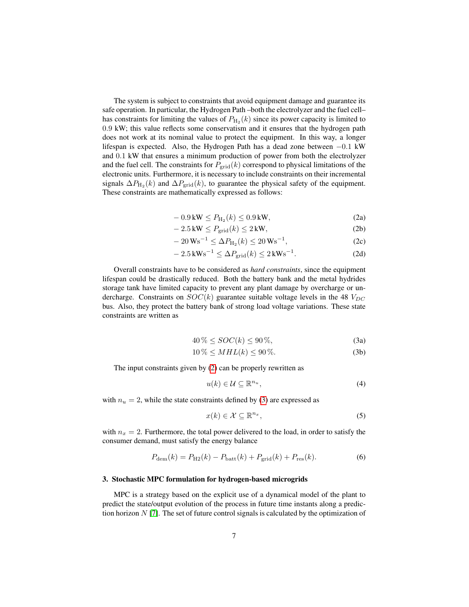The system is subject to constraints that avoid equipment damage and guarantee its safe operation. In particular, the Hydrogen Path –both the electrolyzer and the fuel cell– has constraints for limiting the values of  $P_{\text{H}_2}(k)$  since its power capacity is limited to 0.9 kW; this value reflects some conservatism and it ensures that the hydrogen path does not work at its nominal value to protect the equipment. In this way, a longer lifespan is expected. Also, the Hydrogen Path has a dead zone between −0.1 kW and 0.1 kW that ensures a minimum production of power from both the electrolyzer and the fuel cell. The constraints for  $P_{grid}(k)$  correspond to physical limitations of the electronic units. Furthermore, it is necessary to include constraints on their incremental signals  $\Delta P_{\rm H_2}(k)$  and  $\Delta P_{\rm grid}(k)$ , to guarantee the physical safety of the equipment. These constraints are mathematically expressed as follows:

$$
-0.9\,\text{kW} \le P_{\text{H}_2}(k) \le 0.9\,\text{kW},\tag{2a}
$$

$$
-2.5 \,\text{kW} \le P_{\text{grid}}(k) \le 2 \,\text{kW},\tag{2b}
$$

$$
-20\,\mathrm{Ws}^{-1} \le \Delta P_{\mathrm{H}_2}(k) \le 20\,\mathrm{Ws}^{-1},\tag{2c}
$$

$$
-2.5 \,\mathrm{kWs}^{-1} \le \Delta P_{\mathrm{grid}}(k) \le 2 \,\mathrm{kWs}^{-1}.\tag{2d}
$$

<span id="page-6-1"></span>Overall constraints have to be considered as *hard constraints*, since the equipment lifespan could be drastically reduced. Both the battery bank and the metal hydrides storage tank have limited capacity to prevent any plant damage by overcharge or undercharge. Constraints on  $SOC(k)$  guarantee suitable voltage levels in the 48  $V_{DC}$ bus. Also, they protect the battery bank of strong load voltage variations. These state constraints are written as

$$
40\% \leq SOC(k) \leq 90\%,\tag{3a}
$$

$$
10\% \leq MHL(k) \leq 90\%.
$$
\n(3b)

<span id="page-6-2"></span>The input constraints given by [\(2\)](#page-6-1) can be properly rewritten as

<span id="page-6-3"></span>
$$
u(k) \in \mathcal{U} \subseteq \mathbb{R}^{n_u},\tag{4}
$$

with  $n_u = 2$ , while the state constraints defined by [\(3\)](#page-6-2) are expressed as

$$
x(k) \in \mathcal{X} \subseteq \mathbb{R}^{n_x},\tag{5}
$$

with  $n_x = 2$ . Furthermore, the total power delivered to the load, in order to satisfy the consumer demand, must satisfy the energy balance

$$
P_{\text{dem}}(k) = P_{\text{H2}}(k) - P_{\text{batt}}(k) + P_{\text{grid}}(k) + P_{\text{res}}(k). \tag{6}
$$

#### <span id="page-6-0"></span>3. Stochastic MPC formulation for hydrogen-based microgrids

MPC is a strategy based on the explicit use of a dynamical model of the plant to predict the state/output evolution of the process in future time instants along a prediction horizon  $N$  [\[7\]](#page-22-0). The set of future control signals is calculated by the optimization of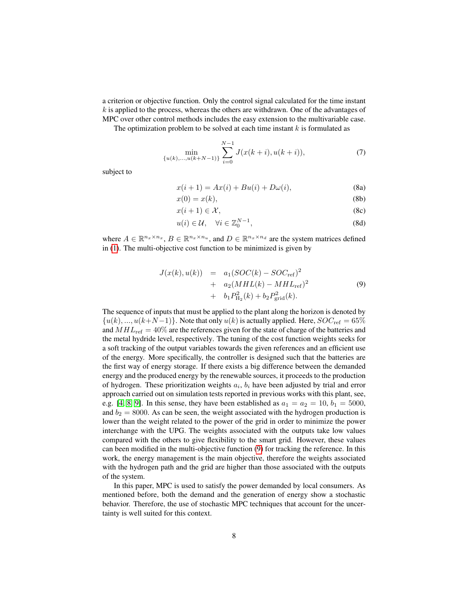a criterion or objective function. Only the control signal calculated for the time instant  $k$  is applied to the process, whereas the others are withdrawn. One of the advantages of MPC over other control methods includes the easy extension to the multivariable case.

The optimization problem to be solved at each time instant  $k$  is formulated as

$$
\min_{\{u(k),\dots,u(k+N-1)\}} \sum_{i=0}^{N-1} J(x(k+i),u(k+i)),\tag{7}
$$

subject to

$$
x(i+1) = Ax(i) + Bu(i) + D\omega(i),
$$
\n(8a)

$$
x(0) = x(k),\tag{8b}
$$

$$
x(i+1) \in \mathcal{X},\tag{8c}
$$

$$
u(i) \in \mathcal{U}, \quad \forall i \in \mathbb{Z}_0^{N-1}, \tag{8d}
$$

where  $A \in \mathbb{R}^{n_x \times n_x}$ ,  $B \in \mathbb{R}^{n_x \times n_u}$ , and  $D \in \mathbb{R}^{n_x \times n_d}$  are the system matrices defined in [\(1\)](#page-5-1). The multi-objective cost function to be minimized is given by

<span id="page-7-0"></span>
$$
J(x(k), u(k)) = a_1 (SOC(k) - SOC_{ref})^2 + a_2 (MHL(k) - MHL_{ref})^2 + b_1 P_{H_2}^2(k) + b_2 P_{grid}^2(k).
$$
 (9)

The sequence of inputs that must be applied to the plant along the horizon is denoted by  $\{u(k),...,u(k+N-1)\}\$ . Note that only  $u(k)$  is actually applied. Here,  $SOC_{\text{ref}} = 65\%$ and  $MHL_{\text{ref}} = 40\%$  are the references given for the state of charge of the batteries and the metal hydride level, respectively. The tuning of the cost function weights seeks for a soft tracking of the output variables towards the given references and an efficient use of the energy. More specifically, the controller is designed such that the batteries are the first way of energy storage. If there exists a big difference between the demanded energy and the produced energy by the renewable sources, it proceeds to the production of hydrogen. These prioritization weights  $a_i$ ,  $b_i$  have been adjusted by trial and error approach carried out on simulation tests reported in previous works with this plant, see, e.g. [\[4,](#page-21-3) [8,](#page-22-1) [9\]](#page-22-8). In this sense, they have been established as  $a_1 = a_2 = 10$ ,  $b_1 = 5000$ , and  $b_2 = 8000$ . As can be seen, the weight associated with the hydrogen production is lower than the weight related to the power of the grid in order to minimize the power interchange with the UPG. The weights associated with the outputs take low values compared with the others to give flexibility to the smart grid. However, these values can been modified in the multi-objective function [\(9\)](#page-7-0) for tracking the reference. In this work, the energy management is the main objective, therefore the weights associated with the hydrogen path and the grid are higher than those associated with the outputs of the system.

In this paper, MPC is used to satisfy the power demanded by local consumers. As mentioned before, both the demand and the generation of energy show a stochastic behavior. Therefore, the use of stochastic MPC techniques that account for the uncertainty is well suited for this context.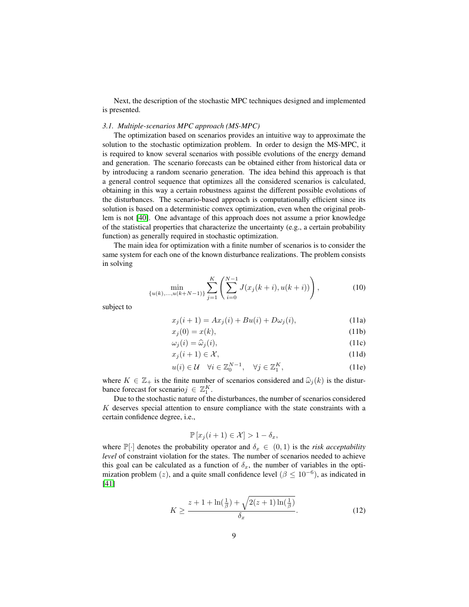Next, the description of the stochastic MPC techniques designed and implemented is presented.

# *3.1. Multiple-scenarios MPC approach (MS-MPC)*

The optimization based on scenarios provides an intuitive way to approximate the solution to the stochastic optimization problem. In order to design the MS-MPC, it is required to know several scenarios with possible evolutions of the energy demand and generation. The scenario forecasts can be obtained either from historical data or by introducing a random scenario generation. The idea behind this approach is that a general control sequence that optimizes all the considered scenarios is calculated, obtaining in this way a certain robustness against the different possible evolutions of the disturbances. The scenario-based approach is computationally efficient since its solution is based on a deterministic convex optimization, even when the original problem is not [\[40\]](#page-24-7). One advantage of this approach does not assume a prior knowledge of the statistical properties that characterize the uncertainty (e.g., a certain probability function) as generally required in stochastic optimization.

The main idea for optimization with a finite number of scenarios is to consider the same system for each one of the known disturbance realizations. The problem consists in solving

$$
\min_{\{u(k),...,u(k+N-1)\}} \sum_{j=1}^{K} \left( \sum_{i=0}^{N-1} J(x_j(k+i), u(k+i)) \right), \tag{10}
$$

subject to

<span id="page-8-0"></span>
$$
x_j(i + 1) = Ax_j(i) + Bu(i) + D\omega_j(i),
$$
\n(11a)

$$
x_j(0) = x(k),\tag{11b}
$$

$$
\omega_j(i) = \widehat{\omega}_j(i),\tag{11c}
$$

$$
x_j(i+1) \in \mathcal{X},\tag{11d}
$$

$$
u(i) \in \mathcal{U} \quad \forall i \in \mathbb{Z}_0^{N-1}, \quad \forall j \in \mathbb{Z}_1^K,\tag{11e}
$$

where  $K \in \mathbb{Z}_+$  is the finite number of scenarios considered and  $\hat{\omega}_i(k)$  is the disturbance forecast for scenario $j \in \mathbb{Z}_1^K$ .

Due to the stochastic nature of the disturbances, the number of scenarios considered  $K$  deserves special attention to ensure compliance with the state constraints with a certain confidence degree, i.e.,

$$
\mathbb{P}\left[x_j(i+1)\in\mathcal{X}\right]>1-\delta_x,
$$

<span id="page-8-1"></span>where  $\mathbb{P}[\cdot]$  denotes the probability operator and  $\delta_x \in (0,1)$  is the *risk acceptability level* of constraint violation for the states. The number of scenarios needed to achieve this goal can be calculated as a function of  $\delta_x$ , the number of variables in the optimization problem (z), and a quite small confidence level ( $\beta \leq 10^{-6}$ ), as indicated in [\[41\]](#page-24-8)

$$
K \ge \frac{z + 1 + \ln\left(\frac{1}{\beta}\right) + \sqrt{2(z+1)\ln\left(\frac{1}{\beta}\right)}}{\delta_x}.\tag{12}
$$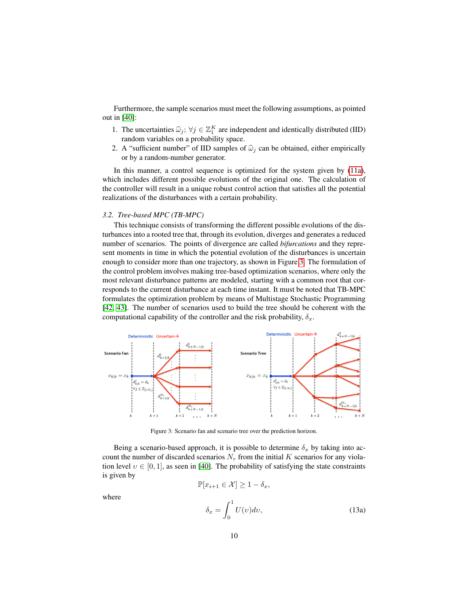Furthermore, the sample scenarios must meet the following assumptions, as pointed out in [\[40\]](#page-24-7):

- 1. The uncertainties  $\hat{\omega}_j$ ;  $\forall j \in \mathbb{Z}_1^K$  are independent and identically distributed (IID) random variables on a probability space. random variables on a probability space.
- 2. A "sufficient number" of IID samples of  $\hat{\omega}_i$  can be obtained, either empirically or by a random-number generator.

In this manner, a control sequence is optimized for the system given by [\(11a\)](#page-8-0), which includes different possible evolutions of the original one. The calculation of the controller will result in a unique robust control action that satisfies all the potential realizations of the disturbances with a certain probability.

## *3.2. Tree-based MPC (TB-MPC)*

This technique consists of transforming the different possible evolutions of the disturbances into a rooted tree that, through its evolution, diverges and generates a reduced number of scenarios. The points of divergence are called *bifurcations* and they represent moments in time in which the potential evolution of the disturbances is uncertain enough to consider more than one trajectory, as shown in Figure [3.](#page-9-0) The formulation of the control problem involves making tree-based optimization scenarios, where only the most relevant disturbance patterns are modeled, starting with a common root that corresponds to the current disturbance at each time instant. It must be noted that TB-MPC formulates the optimization problem by means of Multistage Stochastic Programming [\[42,](#page-24-9) [43\]](#page-24-10). The number of scenarios used to build the tree should be coherent with the computational capability of the controller and the risk probability,  $\delta_x$ .



<span id="page-9-1"></span><span id="page-9-0"></span>Figure 3: Scenario fan and scenario tree over the prediction horizon.

Being a scenario-based approach, it is possible to determine  $\delta_x$  by taking into account the number of discarded scenarios  $N_r$  from the initial K scenarios for any violation level  $v \in [0, 1]$ , as seen in [\[40\]](#page-24-7). The probability of satisfying the state constraints is given by

$$
\mathbb{P}[x_{i+1} \in \mathcal{X}] \ge 1 - \delta_x,
$$

where

$$
\delta_x = \int_0^1 U(v) dv,
$$
\n(13a)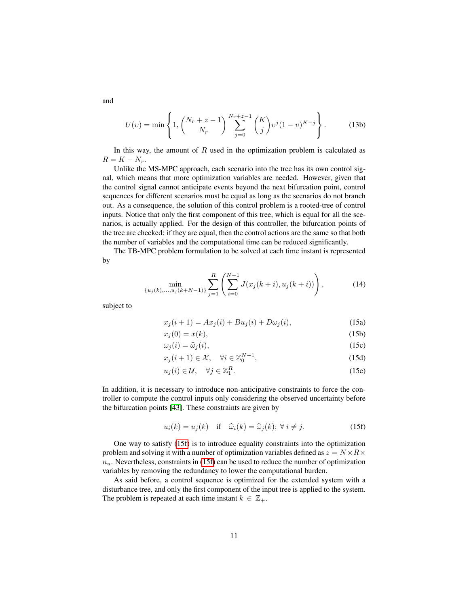$$
U(v) = \min\left\{1, \binom{N_r + z - 1}{N_r} \sum_{j=0}^{N_r + z - 1} \binom{K}{j} v^j (1 - v)^{K - j} \right\}.
$$
 (13b)

In this way, the amount of  $R$  used in the optimization problem is calculated as  $R = K - N_r$ .

Unlike the MS-MPC approach, each scenario into the tree has its own control signal, which means that more optimization variables are needed. However, given that the control signal cannot anticipate events beyond the next bifurcation point, control sequences for different scenarios must be equal as long as the scenarios do not branch out. As a consequence, the solution of this control problem is a rooted-tree of control inputs. Notice that only the first component of this tree, which is equal for all the scenarios, is actually applied. For the design of this controller, the bifurcation points of the tree are checked: if they are equal, then the control actions are the same so that both the number of variables and the computational time can be reduced significantly.

The TB-MPC problem formulation to be solved at each time instant is represented by

$$
\min_{\{u_j(k),\dots,u_j(k+N-1)\}} \sum_{j=1}^R \left( \sum_{i=0}^{N-1} J(x_j(k+i), u_j(k+i)) \right), \tag{14}
$$

subject to

$$
x_j(i + 1) = Ax_j(i) + Bu_j(i) + D\omega_j(i),
$$
\n(15a)

$$
x_j(0) = x(k),\tag{15b}
$$

$$
\omega_j(i) = \widehat{\omega}_j(i),\tag{15c}
$$

$$
x_j(i+1) \in \mathcal{X}, \quad \forall i \in \mathbb{Z}_0^{N-1}, \tag{15d}
$$

$$
u_j(i) \in \mathcal{U}, \quad \forall j \in \mathbb{Z}_1^R. \tag{15e}
$$

In addition, it is necessary to introduce non-anticipative constraints to force the controller to compute the control inputs only considering the observed uncertainty before the bifurcation points [\[43\]](#page-24-10). These constraints are given by

<span id="page-10-0"></span>
$$
u_i(k) = u_j(k) \quad \text{if} \quad \widehat{\omega}_i(k) = \widehat{\omega}_j(k); \ \forall \ i \neq j. \tag{15f}
$$

One way to satisfy [\(15f\)](#page-10-0) is to introduce equality constraints into the optimization problem and solving it with a number of optimization variables defined as  $z = N \times R \times$  $n<sub>u</sub>$ . Nevertheless, constraints in [\(15f\)](#page-10-0) can be used to reduce the number of optimization variables by removing the redundancy to lower the computational burden.

As said before, a control sequence is optimized for the extended system with a disturbance tree, and only the first component of the input tree is applied to the system. The problem is repeated at each time instant  $k \in \mathbb{Z}_+$ .

and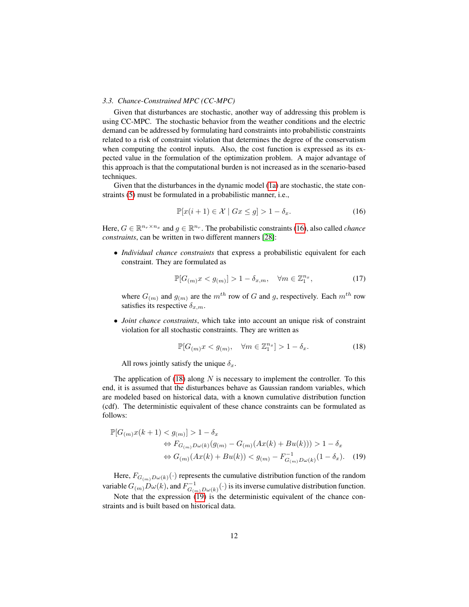#### *3.3. Chance-Constrained MPC (CC-MPC)*

Given that disturbances are stochastic, another way of addressing this problem is using CC-MPC. The stochastic behavior from the weather conditions and the electric demand can be addressed by formulating hard constraints into probabilistic constraints related to a risk of constraint violation that determines the degree of the conservatism when computing the control inputs. Also, the cost function is expressed as its expected value in the formulation of the optimization problem. A major advantage of this approach is that the computational burden is not increased as in the scenario-based techniques.

Given that the disturbances in the dynamic model [\(1a\)](#page-5-1) are stochastic, the state constraints [\(5\)](#page-6-3) must be formulated in a probabilistic manner, i.e.,

<span id="page-11-0"></span>
$$
\mathbb{P}[x(i+1) \in \mathcal{X} \mid Gx \le g] > 1 - \delta_x. \tag{16}
$$

Here,  $G \in \mathbb{R}^{n_r \times n_x}$  and  $g \in \mathbb{R}^{n_r}$ . The probabilistic constraints [\(16\)](#page-11-0), also called *chance constraints*, can be written in two different manners [\[28\]](#page-23-9):

• *Individual chance constraints* that express a probabilistic equivalent for each constraint. They are formulated as

$$
\mathbb{P}[G_{(m)}x < g_{(m)}] > 1 - \delta_{x,m}, \quad \forall m \in \mathbb{Z}_1^{n_x},\tag{17}
$$

where  $G_{(m)}$  and  $g_{(m)}$  are the  $m^{th}$  row of G and g, respectively. Each  $m^{th}$  row satisfies its respective  $\delta_{x,m}$ .

• *Joint chance constraints*, which take into account an unique risk of constraint violation for all stochastic constraints. They are written as

<span id="page-11-2"></span><span id="page-11-1"></span>
$$
\mathbb{P}[G_{(m)}x < g_{(m)}, \quad \forall m \in \mathbb{Z}_1^{n_x}] > 1 - \delta_x. \tag{18}
$$

All rows jointly satisfy the unique  $\delta_x$ .

The application of [\(18\)](#page-11-1) along  $N$  is necessary to implement the controller. To this end, it is assumed that the disturbances behave as Gaussian random variables, which are modeled based on historical data, with a known cumulative distribution function (cdf). The deterministic equivalent of these chance constraints can be formulated as follows:

$$
\mathbb{P}[G_{(m)}x(k+1) < g_{(m)}] > 1 - \delta_x
$$
\n
$$
\Leftrightarrow F_{G_{(m)}D\omega(k)}(g_{(m)} - G_{(m)}(Ax(k) + Bu(k))) > 1 - \delta_x
$$
\n
$$
\Leftrightarrow G_{(m)}(Ax(k) + Bu(k)) < g_{(m)} - F_{G_{(m)}D\omega(k)}^{-1}(1 - \delta_x). \tag{19}
$$

Here,  $F_{G_{(m)}D\omega(k)}(\cdot)$  represents the cumulative distribution function of the random variable  $G_{(m)}D\omega(k)$ , and  $F^{-1}_{G_{(m)}D\omega(k)}(\cdot)$  is its inverse cumulative distribution function.

Note that the expression [\(19\)](#page-11-2) is the deterministic equivalent of the chance constraints and is built based on historical data.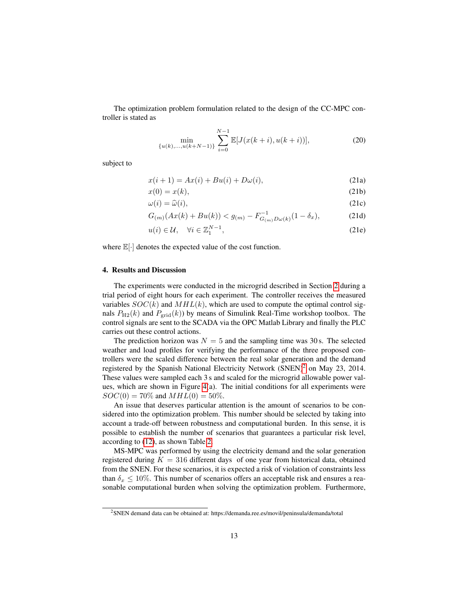The optimization problem formulation related to the design of the CC-MPC controller is stated as

$$
\min_{\{u(k),\dots,u(k+N-1)\}} \sum_{i=0}^{N-1} \mathbb{E}[J(x(k+i),u(k+i))],\tag{20}
$$

subject to

$$
x(i + 1) = Ax(i) + Bu(i) + D\omega(i),
$$
\n(21a)

$$
x(0) = x(k), \tag{21b}
$$

$$
\omega(i) = \widehat{\omega}(i),\tag{21c}
$$

$$
G_{(m)}(Ax(k) + Bu(k)) < g_{(m)} - F_{G_{(m)}D\omega(k)}^{-1}(1 - \delta_x),\tag{21d}
$$

$$
u(i) \in \mathcal{U}, \quad \forall i \in \mathbb{Z}_1^{N-1}, \tag{21e}
$$

where  $\mathbb{E}[\cdot]$  denotes the expected value of the cost function.

# <span id="page-12-0"></span>4. Results and Discussion

The experiments were conducted in the microgrid described in Section [2](#page-3-0) during a trial period of eight hours for each experiment. The controller receives the measured variables  $SOC(k)$  and  $MHL(k)$ , which are used to compute the optimal control signals  $P_{\text{H2}}(k)$  and  $P_{\text{grid}}(k)$  by means of Simulink Real-Time workshop toolbox. The control signals are sent to the SCADA via the OPC Matlab Library and finally the PLC carries out these control actions.

The prediction horizon was  $N = 5$  and the sampling time was 30 s. The selected weather and load profiles for verifying the performance of the three proposed controllers were the scaled difference between the real solar generation and the demand registered by the Spanish National Electricity Network  $(SNEN)^2$  $(SNEN)^2$  on May 23, 2014. These values were sampled each 3 s and scaled for the microgrid allowable power values, which are shown in Figure [4\(](#page-14-0)a). The initial conditions for all experiments were  $SOC(0) = 70\%$  and  $MHL(0) = 50\%.$ 

An issue that deserves particular attention is the amount of scenarios to be considered into the optimization problem. This number should be selected by taking into account a trade-off between robustness and computational burden. In this sense, it is possible to establish the number of scenarios that guarantees a particular risk level, according to [\(12\)](#page-8-1), as shown Table [2.](#page-13-0)

MS-MPC was performed by using the electricity demand and the solar generation registered during  $K = 316$  different days of one year from historical data, obtained from the SNEN. For these scenarios, it is expected a risk of violation of constraints less than  $\delta_x \leq 10\%$ . This number of scenarios offers an acceptable risk and ensures a reasonable computational burden when solving the optimization problem. Furthermore,

<span id="page-12-1"></span><sup>2</sup>SNEN demand data can be obtained at: https://demanda.ree.es/movil/peninsula/demanda/total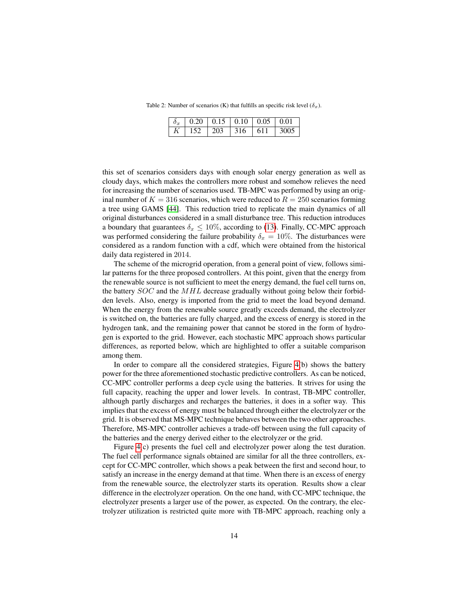Table 2: Number of scenarios (K) that fulfills an specific risk level  $(\delta_x)$ .

<span id="page-13-0"></span>

| $\delta_x$   0.20   0.15   0.10   0.05   0.01 |     |               |       |
|-----------------------------------------------|-----|---------------|-------|
| -152 -                                        | 203 | $316 \pm 611$ | -3005 |

this set of scenarios considers days with enough solar energy generation as well as cloudy days, which makes the controllers more robust and somehow relieves the need for increasing the number of scenarios used. TB-MPC was performed by using an original number of  $K = 316$  scenarios, which were reduced to  $R = 250$  scenarios forming a tree using GAMS [\[44\]](#page-24-11). This reduction tried to replicate the main dynamics of all original disturbances considered in a small disturbance tree. This reduction introduces a boundary that guarantees  $\delta_x \leq 10\%$ , according to [\(13\)](#page-9-1). Finally, CC-MPC approach was performed considering the failure probability  $\delta_x = 10\%$ . The disturbances were considered as a random function with a cdf, which were obtained from the historical daily data registered in 2014.

The scheme of the microgrid operation, from a general point of view, follows similar patterns for the three proposed controllers. At this point, given that the energy from the renewable source is not sufficient to meet the energy demand, the fuel cell turns on, the battery  $SOC$  and the  $MHL$  decrease gradually without going below their forbidden levels. Also, energy is imported from the grid to meet the load beyond demand. When the energy from the renewable source greatly exceeds demand, the electrolyzer is switched on, the batteries are fully charged, and the excess of energy is stored in the hydrogen tank, and the remaining power that cannot be stored in the form of hydrogen is exported to the grid. However, each stochastic MPC approach shows particular differences, as reported below, which are highlighted to offer a suitable comparison among them.

In order to compare all the considered strategies, Figure [4\(](#page-14-0)b) shows the battery power for the three aforementioned stochastic predictive controllers. As can be noticed, CC-MPC controller performs a deep cycle using the batteries. It strives for using the full capacity, reaching the upper and lower levels. In contrast, TB-MPC controller, although partly discharges and recharges the batteries, it does in a softer way. This implies that the excess of energy must be balanced through either the electrolyzer or the grid. It is observed that MS-MPC technique behaves between the two other approaches. Therefore, MS-MPC controller achieves a trade-off between using the full capacity of the batteries and the energy derived either to the electrolyzer or the grid.

Figure [4\(](#page-14-0)c) presents the fuel cell and electrolyzer power along the test duration. The fuel cell performance signals obtained are similar for all the three controllers, except for CC-MPC controller, which shows a peak between the first and second hour, to satisfy an increase in the energy demand at that time. When there is an excess of energy from the renewable source, the electrolyzer starts its operation. Results show a clear difference in the electrolyzer operation. On the one hand, with CC-MPC technique, the electrolyzer presents a larger use of the power, as expected. On the contrary, the electrolyzer utilization is restricted quite more with TB-MPC approach, reaching only a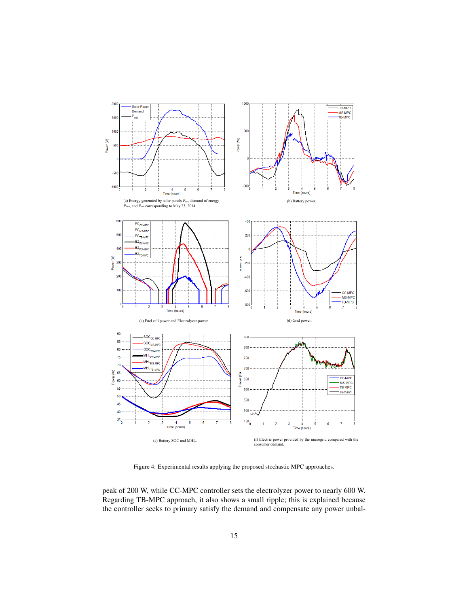

<span id="page-14-0"></span>Figure 4: Experimental results applying the proposed stochastic MPC approaches.

peak of 200 W, while CC-MPC controller sets the electrolyzer power to nearly 600 W. Regarding TB-MPC approach, it also shows a small ripple; this is explained because the controller seeks to primary satisfy the demand and compensate any power unbal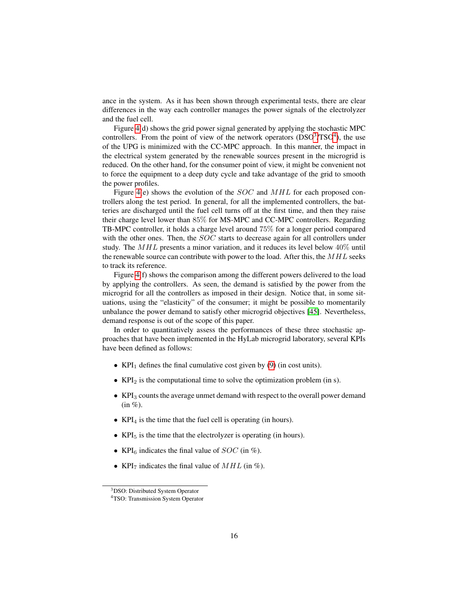ance in the system. As it has been shown through experimental tests, there are clear differences in the way each controller manages the power signals of the electrolyzer and the fuel cell.

Figure [4\(](#page-14-0)d) shows the grid power signal generated by applying the stochastic MPC controllers. From the point of view of the network operators  $(DSO<sup>3</sup>/TSO<sup>4</sup>)$  $(DSO<sup>3</sup>/TSO<sup>4</sup>)$  $(DSO<sup>3</sup>/TSO<sup>4</sup>)$  $(DSO<sup>3</sup>/TSO<sup>4</sup>)$  $(DSO<sup>3</sup>/TSO<sup>4</sup>)$ , the use of the UPG is minimized with the CC-MPC approach. In this manner, the impact in the electrical system generated by the renewable sources present in the microgrid is reduced. On the other hand, for the consumer point of view, it might be convenient not to force the equipment to a deep duty cycle and take advantage of the grid to smooth the power profiles.

Figure [4\(](#page-14-0)e) shows the evolution of the  $SOC$  and  $MHL$  for each proposed controllers along the test period. In general, for all the implemented controllers, the batteries are discharged until the fuel cell turns off at the first time, and then they raise their charge level lower than 85% for MS-MPC and CC-MPC controllers. Regarding TB-MPC controller, it holds a charge level around 75% for a longer period compared with the other ones. Then, the *SOC* starts to decrease again for all controllers under study. The MHL presents a minor variation, and it reduces its level below 40% until the renewable source can contribute with power to the load. After this, the  $MHL$  seeks to track its reference.

Figure [4\(](#page-14-0)f) shows the comparison among the different powers delivered to the load by applying the controllers. As seen, the demand is satisfied by the power from the microgrid for all the controllers as imposed in their design. Notice that, in some situations, using the "elasticity" of the consumer; it might be possible to momentarily unbalance the power demand to satisfy other microgrid objectives [\[45\]](#page-25-0). Nevertheless, demand response is out of the scope of this paper.

In order to quantitatively assess the performances of these three stochastic approaches that have been implemented in the HyLab microgrid laboratory, several KPIs have been defined as follows:

- KPI<sub>1</sub> defines the final cumulative cost given by [\(9\)](#page-7-0) (in cost units).
- $KPI<sub>2</sub>$  is the computational time to solve the optimization problem (in s).
- $KPI_3$  counts the average unmet demand with respect to the overall power demand  $(in \%)$ .
- $KPI<sub>4</sub>$  is the time that the fuel cell is operating (in hours).
- KPI $_5$  is the time that the electrolyzer is operating (in hours).
- KPI $_6$  indicates the final value of  $SOC$  (in %).
- KPI<sub>7</sub> indicates the final value of  $MHL$  (in %).

<span id="page-15-0"></span><sup>&</sup>lt;sup>3</sup>DSO: Distributed System Operator

<span id="page-15-1"></span><sup>4</sup>TSO: Transmission System Operator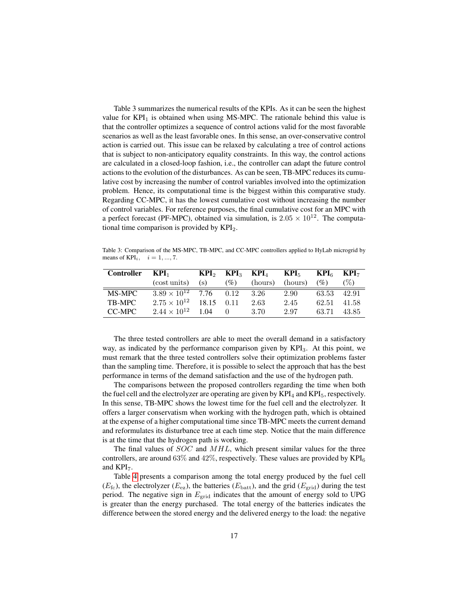Table 3 summarizes the numerical results of the KPIs. As it can be seen the highest value for  $KPI_1$  is obtained when using MS-MPC. The rationale behind this value is that the controller optimizes a sequence of control actions valid for the most favorable scenarios as well as the least favorable ones. In this sense, an over-conservative control action is carried out. This issue can be relaxed by calculating a tree of control actions that is subject to non-anticipatory equality constraints. In this way, the control actions are calculated in a closed-loop fashion, i.e., the controller can adapt the future control actions to the evolution of the disturbances. As can be seen, TB-MPC reduces its cumulative cost by increasing the number of control variables involved into the optimization problem. Hence, its computational time is the biggest within this comparative study. Regarding CC-MPC, it has the lowest cumulative cost without increasing the number of control variables. For reference purposes, the final cumulative cost for an MPC with a perfect forecast (PF-MPC), obtained via simulation, is  $2.05 \times 10^{12}$ . The computational time comparison is provided by  $KPI<sub>2</sub>$ .

Table 3: Comparison of the MS-MPC, TB-MPC, and CC-MPC controllers applied to HyLab microgrid by means of  $KPI_i$ ,  $i = 1, ..., 7$ .

| $Controller$ $KPI_1$ |                       | KPI <sub>2</sub> |        | $KPI_3$ $KPI_4$ | $KPI_5$ | KPI <sub>e</sub> | KPI <sub>7</sub> |
|----------------------|-----------------------|------------------|--------|-----------------|---------|------------------|------------------|
|                      | (cost units)          | (S)              | $(\%)$ | (hours)         | (hours) | (%)              | $(\%)$           |
| MS-MPC               | $3.89 \times 10^{12}$ | 7 76             | 0.12   | -3.26           | 2.90    | 63.53            | 42.91            |
| TB-MPC               | $2.75 \times 10^{12}$ | 18 15            | 0.11   | 2.63            | 2.45    | 62.51            | 41.58            |
| CC-MPC               | $2.44 \times 10^{12}$ | 1.04             |        | 3.70            | 2.97    | 63.71            | 43.85            |

The three tested controllers are able to meet the overall demand in a satisfactory way, as indicated by the performance comparison given by KPI<sub>3</sub>. At this point, we must remark that the three tested controllers solve their optimization problems faster than the sampling time. Therefore, it is possible to select the approach that has the best performance in terms of the demand satisfaction and the use of the hydrogen path.

The comparisons between the proposed controllers regarding the time when both the fuel cell and the electrolyzer are operating are given by  $KPI_4$  and  $KPI_5$ , respectively. In this sense, TB-MPC shows the lowest time for the fuel cell and the electrolyzer. It offers a larger conservatism when working with the hydrogen path, which is obtained at the expense of a higher computational time since TB-MPC meets the current demand and reformulates its disturbance tree at each time step. Notice that the main difference is at the time that the hydrogen path is working.

The final values of  $SOC$  and  $MHL$ , which present similar values for the three controllers, are around  $63\%$  and  $42\%$ , respectively. These values are provided by  $KPI_6$ and KPI<sub>7</sub>.

Table [4](#page-17-0) presents a comparison among the total energy produced by the fuel cell  $(E_{\text{fc}})$ , the electrolyzer  $(E_{\text{ez}})$ , the batteries  $(E_{\text{batt}})$ , and the grid  $(E_{\text{grid}})$  during the test period. The negative sign in  $E_{\text{grid}}$  indicates that the amount of energy sold to UPG is greater than the energy purchased. The total energy of the batteries indicates the difference between the stored energy and the delivered energy to the load: the negative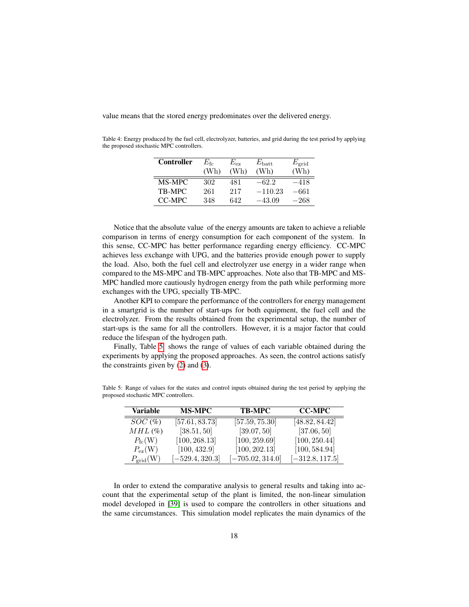value means that the stored energy predominates over the delivered energy.

<span id="page-17-0"></span>Table 4: Energy produced by the fuel cell, electrolyzer, batteries, and grid during the test period by applying the proposed stochastic MPC controllers.

| <b>Controller</b> | $E_{\rm fc}$ | $E_{\rm ez}$ | $E_{\rm hatt}$ | $E_{\text{grid}}$ |
|-------------------|--------------|--------------|----------------|-------------------|
|                   | (Wh)         | (Wh)         | (Wh)           | (Wh)              |
| MS-MPC            | 302          | 481          | $-62.2$        | –418              |
| <b>TB-MPC</b>     | 261          | 217          | $-110.23$      | -661              |
| CC-MPC            | 348          | 642          | $-43.09$       | $-268$            |

Notice that the absolute value of the energy amounts are taken to achieve a reliable comparison in terms of energy consumption for each component of the system. In this sense, CC-MPC has better performance regarding energy efficiency. CC-MPC achieves less exchange with UPG, and the batteries provide enough power to supply the load. Also, both the fuel cell and electrolyzer use energy in a wider range when compared to the MS-MPC and TB-MPC approaches. Note also that TB-MPC and MS-MPC handled more cautiously hydrogen energy from the path while performing more exchanges with the UPG, specially TB-MPC.

Another KPI to compare the performance of the controllers for energy management in a smartgrid is the number of start-ups for both equipment, the fuel cell and the electrolyzer. From the results obtained from the experimental setup, the number of start-ups is the same for all the controllers. However, it is a major factor that could reduce the lifespan of the hydrogen path.

Finally, Table [5](#page-17-1) shows the range of values of each variable obtained during the experiments by applying the proposed approaches. As seen, the control actions satisfy the constraints given by [\(2\)](#page-6-1) and [\(3\)](#page-6-2).

| <b>Variable</b>      | <b>MS-MPC</b>     | <b>TB-MPC</b>      | <b>CC-MPC</b>     |
|----------------------|-------------------|--------------------|-------------------|
| SOC (%)              | [57.61, 83.73]    | [57.59, 75.30]     | [48.82, 84.42]    |
| $MHL$ (%)            | [38.51, 50]       | [39.07, 50]        | [37.06, 50]       |
| $P_{\rm fc}(W)$      | [100, 268.13]     | [100, 259.69]      | [100, 250.44]     |
| $P_{\rm ez}(\rm W)$  | [100, 432.9]      | [100, 202.13]      | [100, 584.94]     |
| $P_{\text{grid}}(W)$ | $[-529.4, 320.3]$ | $[-705.02, 314.0]$ | $[-312.8, 117.5]$ |

<span id="page-17-1"></span>Table 5: Range of values for the states and control inputs obtained during the test period by applying the proposed stochastic MPC controllers.

In order to extend the comparative analysis to general results and taking into account that the experimental setup of the plant is limited, the non-linear simulation model developed in [\[39\]](#page-24-6) is used to compare the controllers in other situations and the same circumstances. This simulation model replicates the main dynamics of the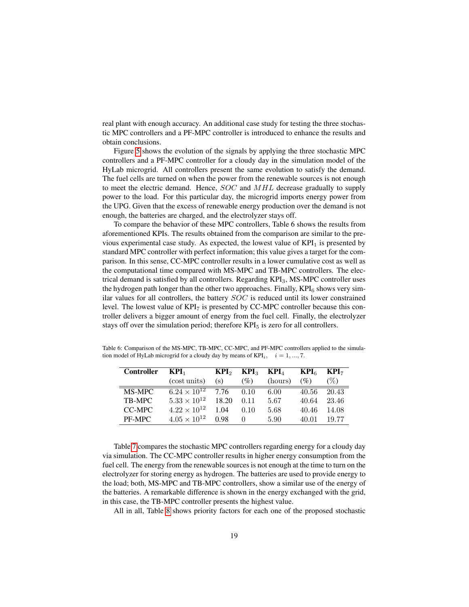real plant with enough accuracy. An additional case study for testing the three stochastic MPC controllers and a PF-MPC controller is introduced to enhance the results and obtain conclusions.

Figure [5](#page-19-0) shows the evolution of the signals by applying the three stochastic MPC controllers and a PF-MPC controller for a cloudy day in the simulation model of the HyLab microgrid. All controllers present the same evolution to satisfy the demand. The fuel cells are turned on when the power from the renewable sources is not enough to meet the electric demand. Hence,  $SOC$  and  $MHL$  decrease gradually to supply power to the load. For this particular day, the microgrid imports energy power from the UPG. Given that the excess of renewable energy production over the demand is not enough, the batteries are charged, and the electrolyzer stays off.

To compare the behavior of these MPC controllers, Table 6 shows the results from aforementioned KPIs. The results obtained from the comparison are similar to the previous experimental case study. As expected, the lowest value of  $KPI<sub>1</sub>$  is presented by standard MPC controller with perfect information; this value gives a target for the comparison. In this sense, CC-MPC controller results in a lower cumulative cost as well as the computational time compared with MS-MPC and TB-MPC controllers. The electrical demand is satisfied by all controllers. Regarding KPI3, MS-MPC controller uses the hydrogen path longer than the other two approaches. Finally,  $KPI_6$  shows very similar values for all controllers, the battery SOC is reduced until its lower constrained level. The lowest value of  $KPI<sub>7</sub>$  is presented by CC-MPC controller because this controller delivers a bigger amount of energy from the fuel cell. Finally, the electrolyzer stays off over the simulation period; therefore  $KPI_5$  is zero for all controllers.

Table 6: Comparison of the MS-MPC, TB-MPC, CC-MPC, and PF-MPC controllers applied to the simulation model of HyLab microgrid for a cloudy day by means of  $KPI_i$ ,  $i = 1, ..., 7$ .

| <b>Controller</b> | $KPI_1$                          | KPI <sub>2</sub> | $KPI_3$  | $KPI_4$ | KPI <sub>6</sub> | KPI <sub>7</sub> |
|-------------------|----------------------------------|------------------|----------|---------|------------------|------------------|
|                   | (cost units)                     | (s)              | (%)      | (hours) | (%)              | $\%$             |
| MS-MPC            | $6.24 \times \overline{10^{12}}$ | 7 76             | 0.10     | 6.00    | 40.56            | 20.43            |
| TB-MPC            | $5.33 \times 10^{12}$            | 18.20            | 0.11     | 5.67    | 40.64            | 23.46            |
| CC-MPC            | $4.22 \times 10^{12}$            | 1.04             | 0.10     | 5.68    | 40.46            | 14.08            |
| PF-MPC            | $4.05 \times 10^{12}$            | 0.98             | $\theta$ | 5.90    | 40.01            | 1977             |

Table [7](#page-20-1) compares the stochastic MPC controllers regarding energy for a cloudy day via simulation. The CC-MPC controller results in higher energy consumption from the fuel cell. The energy from the renewable sources is not enough at the time to turn on the electrolyzer for storing energy as hydrogen. The batteries are used to provide energy to the load; both, MS-MPC and TB-MPC controllers, show a similar use of the energy of the batteries. A remarkable difference is shown in the energy exchanged with the grid, in this case, the TB-MPC controller presents the highest value.

All in all, Table [8](#page-20-2) shows priority factors for each one of the proposed stochastic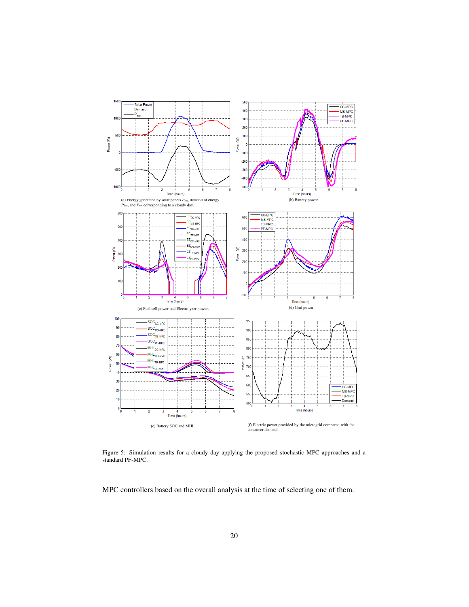

<span id="page-19-0"></span>Figure 5: Simulation results for a cloudy day applying the proposed stochastic MPC approaches and a standard PF-MPC.

MPC controllers based on the overall analysis at the time of selecting one of them.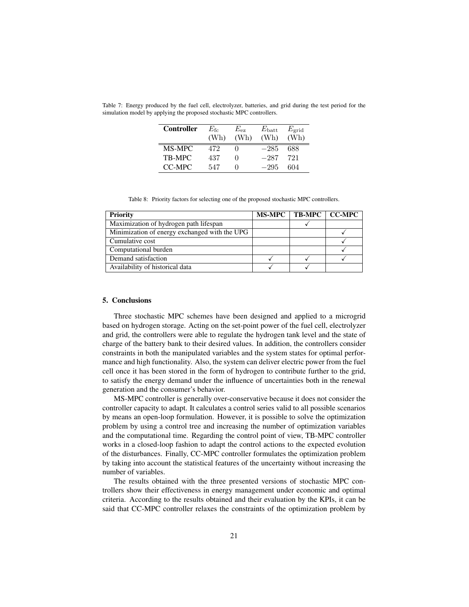| <b>Controller</b> | $E_{\rm fc}$ | $E_{\rm ez}$ | $E_{\rm batt}$ | $E_{\rm grid}$    |
|-------------------|--------------|--------------|----------------|-------------------|
|                   | (Wh)         | (Wh)         | (Wh)           | (W <sub>h</sub> ) |
| MS-MPC            | 472          |              | $-285$         | 688               |
| TB-MPC            | 437          |              | $-287$         | 721               |
| CC-MPC            | 547          |              | $-295$         | 604               |

<span id="page-20-1"></span>Table 7: Energy produced by the fuel cell, electrolyzer, batteries, and grid during the test period for the simulation model by applying the proposed stochastic MPC controllers.

<span id="page-20-2"></span>Table 8: Priority factors for selecting one of the proposed stochastic MPC controllers.

| <b>Priority</b>                               | $MS-MPC$   $TB-MPC$   $CC-MPC$ |  |
|-----------------------------------------------|--------------------------------|--|
| Maximization of hydrogen path lifespan        |                                |  |
| Minimization of energy exchanged with the UPG |                                |  |
| Cumulative cost                               |                                |  |
| Computational burden                          |                                |  |
| Demand satisfaction                           |                                |  |
| Availability of historical data               |                                |  |

# <span id="page-20-0"></span>5. Conclusions

Three stochastic MPC schemes have been designed and applied to a microgrid based on hydrogen storage. Acting on the set-point power of the fuel cell, electrolyzer and grid, the controllers were able to regulate the hydrogen tank level and the state of charge of the battery bank to their desired values. In addition, the controllers consider constraints in both the manipulated variables and the system states for optimal performance and high functionality. Also, the system can deliver electric power from the fuel cell once it has been stored in the form of hydrogen to contribute further to the grid, to satisfy the energy demand under the influence of uncertainties both in the renewal generation and the consumer's behavior.

MS-MPC controller is generally over-conservative because it does not consider the controller capacity to adapt. It calculates a control series valid to all possible scenarios by means an open-loop formulation. However, it is possible to solve the optimization problem by using a control tree and increasing the number of optimization variables and the computational time. Regarding the control point of view, TB-MPC controller works in a closed-loop fashion to adapt the control actions to the expected evolution of the disturbances. Finally, CC-MPC controller formulates the optimization problem by taking into account the statistical features of the uncertainty without increasing the number of variables.

The results obtained with the three presented versions of stochastic MPC controllers show their effectiveness in energy management under economic and optimal criteria. According to the results obtained and their evaluation by the KPIs, it can be said that CC-MPC controller relaxes the constraints of the optimization problem by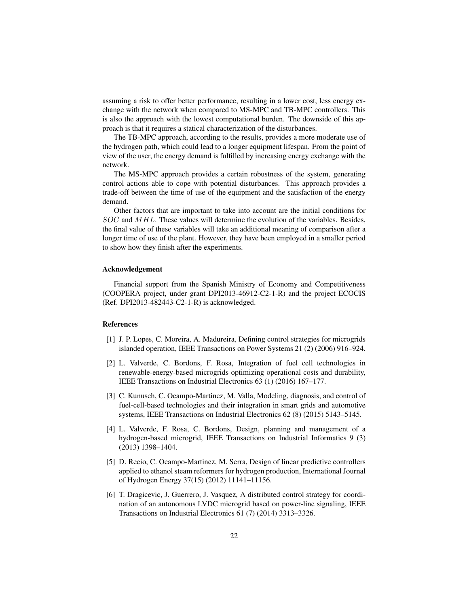assuming a risk to offer better performance, resulting in a lower cost, less energy exchange with the network when compared to MS-MPC and TB-MPC controllers. This is also the approach with the lowest computational burden. The downside of this approach is that it requires a statical characterization of the disturbances.

The TB-MPC approach, according to the results, provides a more moderate use of the hydrogen path, which could lead to a longer equipment lifespan. From the point of view of the user, the energy demand is fulfilled by increasing energy exchange with the network.

The MS-MPC approach provides a certain robustness of the system, generating control actions able to cope with potential disturbances. This approach provides a trade-off between the time of use of the equipment and the satisfaction of the energy demand.

Other factors that are important to take into account are the initial conditions for SOC and MHL. These values will determine the evolution of the variables. Besides, the final value of these variables will take an additional meaning of comparison after a longer time of use of the plant. However, they have been employed in a smaller period to show how they finish after the experiments.

# Acknowledgement

Financial support from the Spanish Ministry of Economy and Competitiveness (COOPERA project, under grant DPI2013-46912-C2-1-R) and the project ECOCIS (Ref. DPI2013-482443-C2-1-R) is acknowledged.

# References

- <span id="page-21-0"></span>[1] J. P. Lopes, C. Moreira, A. Madureira, Defining control strategies for microgrids islanded operation, IEEE Transactions on Power Systems 21 (2) (2006) 916–924.
- <span id="page-21-1"></span>[2] L. Valverde, C. Bordons, F. Rosa, Integration of fuel cell technologies in renewable-energy-based microgrids optimizing operational costs and durability, IEEE Transactions on Industrial Electronics 63 (1) (2016) 167–177.
- <span id="page-21-2"></span>[3] C. Kunusch, C. Ocampo-Martinez, M. Valla, Modeling, diagnosis, and control of fuel-cell-based technologies and their integration in smart grids and automotive systems, IEEE Transactions on Industrial Electronics 62 (8) (2015) 5143–5145.
- <span id="page-21-3"></span>[4] L. Valverde, F. Rosa, C. Bordons, Design, planning and management of a hydrogen-based microgrid, IEEE Transactions on Industrial Informatics 9 (3) (2013) 1398–1404.
- <span id="page-21-4"></span>[5] D. Recio, C. Ocampo-Martinez, M. Serra, Design of linear predictive controllers applied to ethanol steam reformers for hydrogen production, International Journal of Hydrogen Energy 37(15) (2012) 11141–11156.
- <span id="page-21-5"></span>[6] T. Dragicevic, J. Guerrero, J. Vasquez, A distributed control strategy for coordination of an autonomous LVDC microgrid based on power-line signaling, IEEE Transactions on Industrial Electronics 61 (7) (2014) 3313–3326.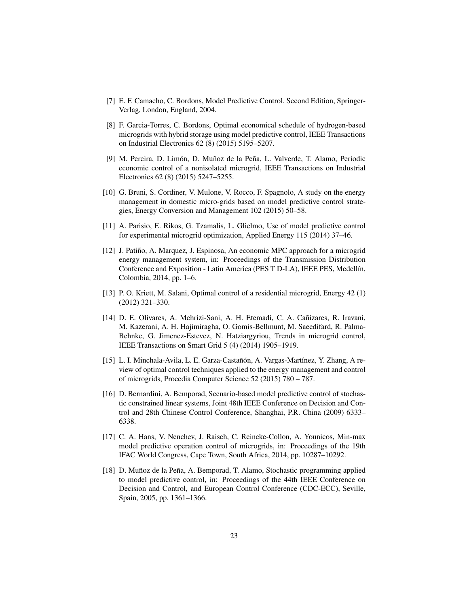- <span id="page-22-0"></span>[7] E. F. Camacho, C. Bordons, Model Predictive Control. Second Edition, Springer-Verlag, London, England, 2004.
- <span id="page-22-1"></span>[8] F. Garcia-Torres, C. Bordons, Optimal economical schedule of hydrogen-based microgrids with hybrid storage using model predictive control, IEEE Transactions on Industrial Electronics 62 (8) (2015) 5195–5207.
- <span id="page-22-8"></span>[9] M. Pereira, D. Limón, D. Muñoz de la Peña, L. Valverde, T. Alamo, Periodic economic control of a nonisolated microgrid, IEEE Transactions on Industrial Electronics 62 (8) (2015) 5247–5255.
- [10] G. Bruni, S. Cordiner, V. Mulone, V. Rocco, F. Spagnolo, A study on the energy management in domestic micro-grids based on model predictive control strategies, Energy Conversion and Management 102 (2015) 50–58.
- [11] A. Parisio, E. Rikos, G. Tzamalis, L. Glielmo, Use of model predictive control for experimental microgrid optimization, Applied Energy 115 (2014) 37–46.
- [12] J. Patiño, A. Marquez, J. Espinosa, An economic MPC approach for a microgrid energy management system, in: Proceedings of the Transmission Distribution Conference and Exposition - Latin America (PES T D-LA), IEEE PES, Medellín, Colombia, 2014, pp. 1–6.
- <span id="page-22-2"></span>[13] P. O. Kriett, M. Salani, Optimal control of a residential microgrid, Energy 42 (1) (2012) 321–330.
- <span id="page-22-3"></span>[14] D. E. Olivares, A. Mehrizi-Sani, A. H. Etemadi, C. A. Cañizares, R. Iravani, M. Kazerani, A. H. Hajimiragha, O. Gomis-Bellmunt, M. Saeedifard, R. Palma-Behnke, G. Jimenez-Estevez, N. Hatziargyriou, Trends in microgrid control, IEEE Transactions on Smart Grid 5 (4) (2014) 1905–1919.
- <span id="page-22-4"></span>[15] L. I. Minchala-Avila, L. E. Garza-Castañón, A. Vargas-Martínez, Y. Zhang, A review of optimal control techniques applied to the energy management and control of microgrids, Procedia Computer Science 52 (2015) 780 – 787.
- <span id="page-22-5"></span>[16] D. Bernardini, A. Bemporad, Scenario-based model predictive control of stochastic constrained linear systems, Joint 48th IEEE Conference on Decision and Control and 28th Chinese Control Conference, Shanghai, P.R. China (2009) 6333– 6338.
- <span id="page-22-6"></span>[17] C. A. Hans, V. Nenchev, J. Raisch, C. Reincke-Collon, A. Younicos, Min-max model predictive operation control of microgrids, in: Proceedings of the 19th IFAC World Congress, Cape Town, South Africa, 2014, pp. 10287–10292.
- <span id="page-22-7"></span>[18] D. Muñoz de la Peña, A. Bemporad, T. Alamo, Stochastic programming applied to model predictive control, in: Proceedings of the 44th IEEE Conference on Decision and Control, and European Control Conference (CDC-ECC), Seville, Spain, 2005, pp. 1361–1366.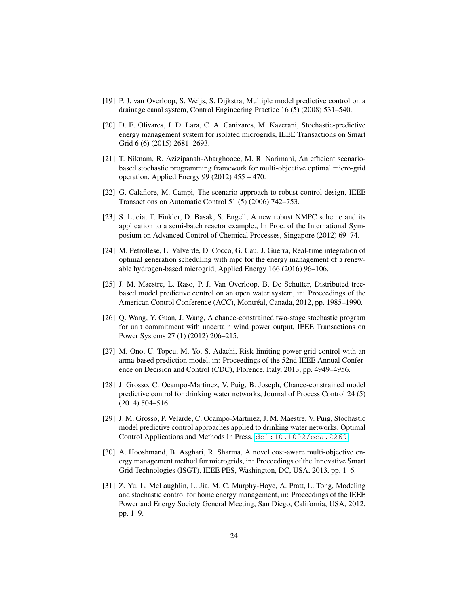- <span id="page-23-0"></span>[19] P. J. van Overloop, S. Weijs, S. Dijkstra, Multiple model predictive control on a drainage canal system, Control Engineering Practice 16 (5) (2008) 531–540.
- <span id="page-23-1"></span>[20] D. E. Olivares, J. D. Lara, C. A. Cañizares, M. Kazerani, Stochastic-predictive energy management system for isolated microgrids, IEEE Transactions on Smart Grid 6 (6) (2015) 2681–2693.
- <span id="page-23-2"></span>[21] T. Niknam, R. Azizipanah-Abarghooee, M. R. Narimani, An efficient scenariobased stochastic programming framework for multi-objective optimal micro-grid operation, Applied Energy 99 (2012) 455 – 470.
- <span id="page-23-3"></span>[22] G. Calafiore, M. Campi, The scenario approach to robust control design, IEEE Transactions on Automatic Control 51 (5) (2006) 742–753.
- <span id="page-23-4"></span>[23] S. Lucia, T. Finkler, D. Basak, S. Engell, A new robust NMPC scheme and its application to a semi-batch reactor example., In Proc. of the International Symposium on Advanced Control of Chemical Processes, Singapore (2012) 69–74.
- <span id="page-23-5"></span>[24] M. Petrollese, L. Valverde, D. Cocco, G. Cau, J. Guerra, Real-time integration of optimal generation scheduling with mpc for the energy management of a renewable hydrogen-based microgrid, Applied Energy 166 (2016) 96–106.
- <span id="page-23-6"></span>[25] J. M. Maestre, L. Raso, P. J. Van Overloop, B. De Schutter, Distributed treebased model predictive control on an open water system, in: Proceedings of the American Control Conference (ACC), Montréal, Canada, 2012, pp. 1985–1990.
- <span id="page-23-7"></span>[26] Q. Wang, Y. Guan, J. Wang, A chance-constrained two-stage stochastic program for unit commitment with uncertain wind power output, IEEE Transactions on Power Systems 27 (1) (2012) 206–215.
- <span id="page-23-8"></span>[27] M. Ono, U. Topcu, M. Yo, S. Adachi, Risk-limiting power grid control with an arma-based prediction model, in: Proceedings of the 52nd IEEE Annual Conference on Decision and Control (CDC), Florence, Italy, 2013, pp. 4949–4956.
- <span id="page-23-9"></span>[28] J. Grosso, C. Ocampo-Martinez, V. Puig, B. Joseph, Chance-constrained model predictive control for drinking water networks, Journal of Process Control 24 (5) (2014) 504–516.
- <span id="page-23-10"></span>[29] J. M. Grosso, P. Velarde, C. Ocampo-Martinez, J. M. Maestre, V. Puig, Stochastic model predictive control approaches applied to drinking water networks, Optimal Control Applications and Methods In Press. [doi:10.1002/oca.2269](http://dx.doi.org/10.1002/oca.2269).
- <span id="page-23-11"></span>[30] A. Hooshmand, B. Asghari, R. Sharma, A novel cost-aware multi-objective energy management method for microgrids, in: Proceedings of the Innovative Smart Grid Technologies (ISGT), IEEE PES, Washington, DC, USA, 2013, pp. 1–6.
- [31] Z. Yu, L. McLaughlin, L. Jia, M. C. Murphy-Hoye, A. Pratt, L. Tong, Modeling and stochastic control for home energy management, in: Proceedings of the IEEE Power and Energy Society General Meeting, San Diego, California, USA, 2012, pp. 1–9.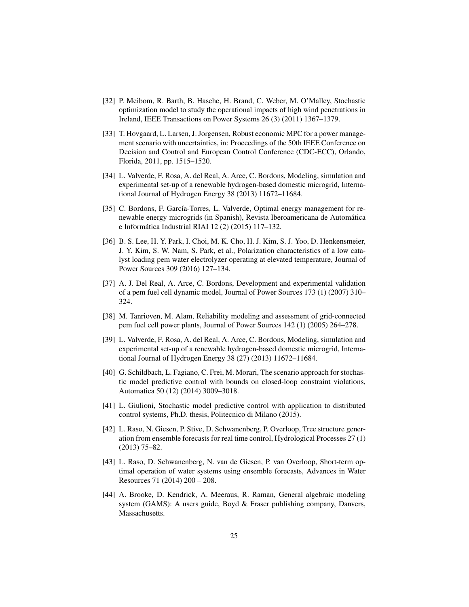- [32] P. Meibom, R. Barth, B. Hasche, H. Brand, C. Weber, M. O'Malley, Stochastic optimization model to study the operational impacts of high wind penetrations in Ireland, IEEE Transactions on Power Systems 26 (3) (2011) 1367–1379.
- <span id="page-24-0"></span>[33] T. Hovgaard, L. Larsen, J. Jorgensen, Robust economic MPC for a power management scenario with uncertainties, in: Proceedings of the 50th IEEE Conference on Decision and Control and European Control Conference (CDC-ECC), Orlando, Florida, 2011, pp. 1515–1520.
- <span id="page-24-1"></span>[34] L. Valverde, F. Rosa, A. del Real, A. Arce, C. Bordons, Modeling, simulation and experimental set-up of a renewable hydrogen-based domestic microgrid, International Journal of Hydrogen Energy 38 (2013) 11672–11684.
- <span id="page-24-2"></span>[35] C. Bordons, F. García-Torres, L. Valverde, Optimal energy management for renewable energy microgrids (in Spanish), Revista Iberoamericana de Automática e Informatica Industrial RIAI 12 (2) (2015) 117–132. ´
- <span id="page-24-3"></span>[36] B. S. Lee, H. Y. Park, I. Choi, M. K. Cho, H. J. Kim, S. J. Yoo, D. Henkensmeier, J. Y. Kim, S. W. Nam, S. Park, et al., Polarization characteristics of a low catalyst loading pem water electrolyzer operating at elevated temperature, Journal of Power Sources 309 (2016) 127–134.
- <span id="page-24-4"></span>[37] A. J. Del Real, A. Arce, C. Bordons, Development and experimental validation of a pem fuel cell dynamic model, Journal of Power Sources 173 (1) (2007) 310– 324.
- <span id="page-24-5"></span>[38] M. Tanrioven, M. Alam, Reliability modeling and assessment of grid-connected pem fuel cell power plants, Journal of Power Sources 142 (1) (2005) 264–278.
- <span id="page-24-6"></span>[39] L. Valverde, F. Rosa, A. del Real, A. Arce, C. Bordons, Modeling, simulation and experimental set-up of a renewable hydrogen-based domestic microgrid, International Journal of Hydrogen Energy 38 (27) (2013) 11672–11684.
- <span id="page-24-7"></span>[40] G. Schildbach, L. Fagiano, C. Frei, M. Morari, The scenario approach for stochastic model predictive control with bounds on closed-loop constraint violations, Automatica 50 (12) (2014) 3009–3018.
- <span id="page-24-8"></span>[41] L. Giulioni, Stochastic model predictive control with application to distributed control systems, Ph.D. thesis, Politecnico di Milano (2015).
- <span id="page-24-9"></span>[42] L. Raso, N. Giesen, P. Stive, D. Schwanenberg, P. Overloop, Tree structure generation from ensemble forecasts for real time control, Hydrological Processes 27 (1) (2013) 75–82.
- <span id="page-24-10"></span>[43] L. Raso, D. Schwanenberg, N. van de Giesen, P. van Overloop, Short-term optimal operation of water systems using ensemble forecasts, Advances in Water Resources 71 (2014) 200 – 208.
- <span id="page-24-11"></span>[44] A. Brooke, D. Kendrick, A. Meeraus, R. Raman, General algebraic modeling system (GAMS): A users guide, Boyd & Fraser publishing company, Danvers, Massachusetts.